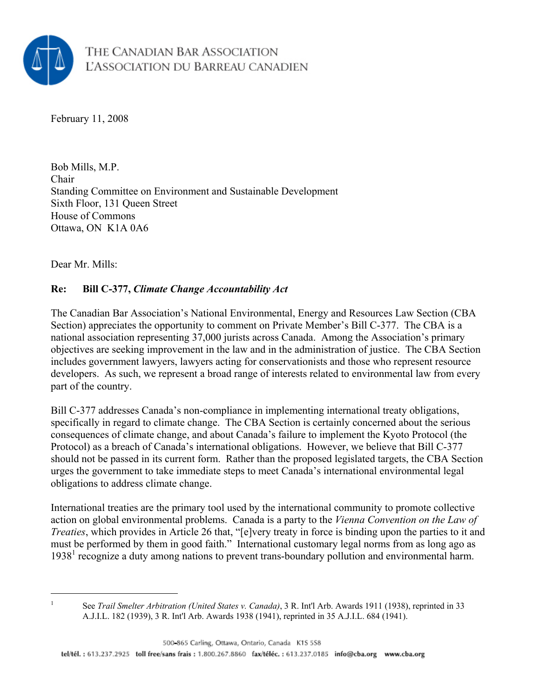

February 11, 2008

Bob Mills, M.P. Chair Standing Committee on Environment and Sustainable Development Sixth Floor, 131 Queen Street House of Commons Ottawa, ON K1A 0A6

Dear Mr. Mills:

#### **Re: Bill C-377,** *Climate Change Accountability Act*

The Canadian Bar Association's National Environmental, Energy and Resources Law Section (CBA Section) appreciates the opportunity to comment on Private Member's Bill C-377. The CBA is a national association representing 37,000 jurists across Canada. Among the Association's primary objectives are seeking improvement in the law and in the administration of justice. The CBA Section includes government lawyers, lawyers acting for conservationists and those who represent resource developers. As such, we represent a broad range of interests related to environmental law from every part of the country.

Bill C-377 addresses Canada's non-compliance in implementing international treaty obligations, specifically in regard to climate change. The CBA Section is certainly concerned about the serious consequences of climate change, and about Canada's failure to implement the Kyoto Protocol (the Protocol) as a breach of Canada's international obligations. However, we believe that Bill C-377 should not be passed in its current form. Rather than the proposed legislated targets, the CBA Section urges the government to take immediate steps to meet Canada's international environmental legal obligations to address climate change.

International treaties are the primary tool used by the international community to promote collective action on global environmental problems. Canada is a party to the *Vienna Convention on the Law of Treaties*, which provides in Article 26 that, "[e]very treaty in force is binding upon the parties to it and must be performed by them in good faith." International customary legal norms from as long ago as 1938<sup>1</sup> recognize a duty among nations to prevent trans-boundary pollution and environmental harm.

 $\overline{a}$ 1

See *Trail Smelter Arbitration (United States v. Canada)*, 3 R. Int'l Arb. Awards 1911 (1938), reprinted in 33 A.J.I.L. 182 (1939), 3 R. Int'l Arb. Awards 1938 (1941), reprinted in 35 A.J.I.L. 684 (1941).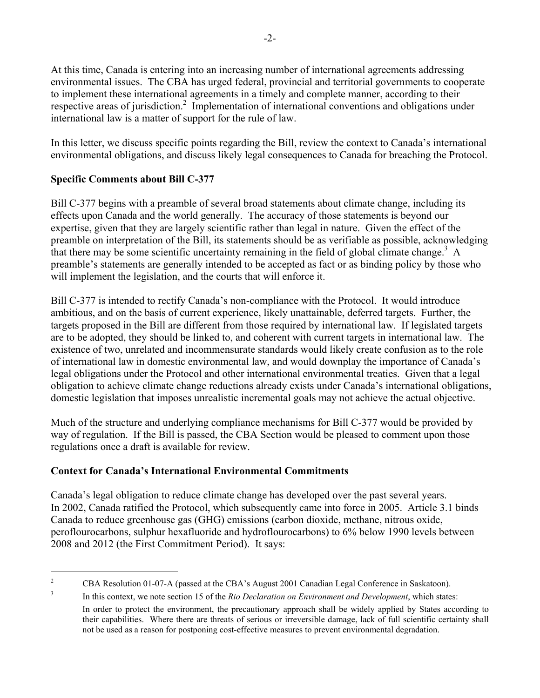At this time, Canada is entering into an increasing number of international agreements addressing environmental issues. The CBA has urged federal, provincial and territorial governments to cooperate to implement these international agreements in a timely and complete manner, according to their respective areas of jurisdiction.<sup>2</sup> Implementation of international conventions and obligations under international law is a matter of support for the rule of law.

In this letter, we discuss specific points regarding the Bill, review the context to Canada's international environmental obligations, and discuss likely legal consequences to Canada for breaching the Protocol.

# **Specific Comments about Bill C-377**

 $\overline{a}$ 

Bill C-377 begins with a preamble of several broad statements about climate change, including its effects upon Canada and the world generally. The accuracy of those statements is beyond our expertise, given that they are largely scientific rather than legal in nature. Given the effect of the preamble on interpretation of the Bill, its statements should be as verifiable as possible, acknowledging that there may be some scientific uncertainty remaining in the field of global climate change.<sup>3</sup> A preamble's statements are generally intended to be accepted as fact or as binding policy by those who will implement the legislation, and the courts that will enforce it.

Bill C-377 is intended to rectify Canada's non-compliance with the Protocol. It would introduce ambitious, and on the basis of current experience, likely unattainable, deferred targets. Further, the targets proposed in the Bill are different from those required by international law. If legislated targets are to be adopted, they should be linked to, and coherent with current targets in international law. The existence of two, unrelated and incommensurate standards would likely create confusion as to the role of international law in domestic environmental law, and would downplay the importance of Canada's legal obligations under the Protocol and other international environmental treaties. Given that a legal obligation to achieve climate change reductions already exists under Canada's international obligations, domestic legislation that imposes unrealistic incremental goals may not achieve the actual objective.

Much of the structure and underlying compliance mechanisms for Bill C-377 would be provided by way of regulation. If the Bill is passed, the CBA Section would be pleased to comment upon those regulations once a draft is available for review.

# **Context for Canada's International Environmental Commitments**

Canada's legal obligation to reduce climate change has developed over the past several years. In 2002, Canada ratified the Protocol, which subsequently came into force in 2005. Article 3.1 binds Canada to reduce greenhouse gas (GHG) emissions (carbon dioxide, methane, nitrous oxide, peroflourocarbons, sulphur hexafluoride and hydroflourocarbons) to 6% below 1990 levels between 2008 and 2012 (the First Commitment Period). It says:

<sup>2</sup> CBA Resolution 01-07-A (passed at the CBA's August 2001 Canadian Legal Conference in Saskatoon).

<sup>3</sup> In this context, we note section 15 of the *Rio Declaration on Environment and Development*, which states: In order to protect the environment, the precautionary approach shall be widely applied by States according to their capabilities. Where there are threats of serious or irreversible damage, lack of full scientific certainty shall not be used as a reason for postponing cost-effective measures to prevent environmental degradation.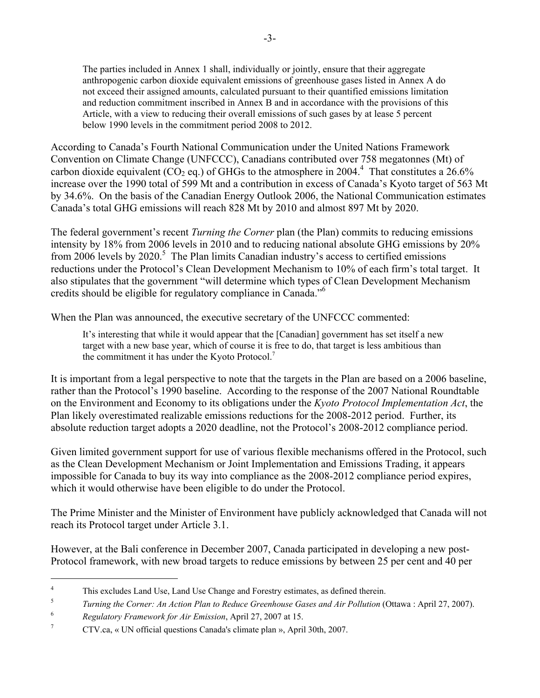The parties included in Annex 1 shall, individually or jointly, ensure that their aggregate anthropogenic carbon dioxide equivalent emissions of greenhouse gases listed in Annex A do not exceed their assigned amounts, calculated pursuant to their quantified emissions limitation and reduction commitment inscribed in Annex B and in accordance with the provisions of this Article, with a view to reducing their overall emissions of such gases by at lease 5 percent below 1990 levels in the commitment period 2008 to 2012.

According to Canada's Fourth National Communication under the United Nations Framework Convention on Climate Change (UNFCCC), Canadians contributed over 758 megatonnes (Mt) of carbon dioxide equivalent ( $CO<sub>2</sub>$  eq.) of GHGs to the atmosphere in 2004.<sup>4</sup> That constitutes a 26.6% increase over the 1990 total of 599 Mt and a contribution in excess of Canada's Kyoto target of 563 Mt by 34.6%. On the basis of the Canadian Energy Outlook 2006, the National Communication estimates Canada's total GHG emissions will reach 828 Mt by 2010 and almost 897 Mt by 2020.

The federal government's recent *Turning the Corner* plan (the Plan) commits to reducing emissions intensity by 18% from 2006 levels in 2010 and to reducing national absolute GHG emissions by 20% from 2006 levels by 2020.<sup>5</sup> The Plan limits Canadian industry's access to certified emissions reductions under the Protocol's Clean Development Mechanism to 10% of each firm's total target. It also stipulates that the government "will determine which types of Clean Development Mechanism credits should be eligible for regulatory compliance in Canada."6

When the Plan was announced, the executive secretary of the UNFCCC commented:

It's interesting that while it would appear that the [Canadian] government has set itself a new target with a new base year, which of course it is free to do, that target is less ambitious than the commitment it has under the Kyoto Protocol.<sup>7</sup>

It is important from a legal perspective to note that the targets in the Plan are based on a 2006 baseline, rather than the Protocol's 1990 baseline. According to the response of the 2007 National Roundtable on the Environment and Economy to its obligations under the *Kyoto Protocol Implementation Act*, the Plan likely overestimated realizable emissions reductions for the 2008-2012 period. Further, its absolute reduction target adopts a 2020 deadline, not the Protocol's 2008-2012 compliance period.

Given limited government support for use of various flexible mechanisms offered in the Protocol, such as the Clean Development Mechanism or Joint Implementation and Emissions Trading, it appears impossible for Canada to buy its way into compliance as the 2008-2012 compliance period expires, which it would otherwise have been eligible to do under the Protocol.

The Prime Minister and the Minister of Environment have publicly acknowledged that Canada will not reach its Protocol target under Article 3.1.

However, at the Bali conference in December 2007, Canada participated in developing a new post-Protocol framework, with new broad targets to reduce emissions by between 25 per cent and 40 per

 $\overline{a}$ 

<sup>4</sup> This excludes Land Use, Land Use Change and Forestry estimates, as defined therein.

<sup>5</sup> *Turning the Corner: An Action Plan to Reduce Greenhouse Gases and Air Pollution* (Ottawa : April 27, 2007).

<sup>6</sup> <sup>6</sup><br>*Regulatory Framework for Air Emission*, April 27, 2007 at 15.

CTV.ca, « UN official questions Canada's climate plan », April 30th, 2007.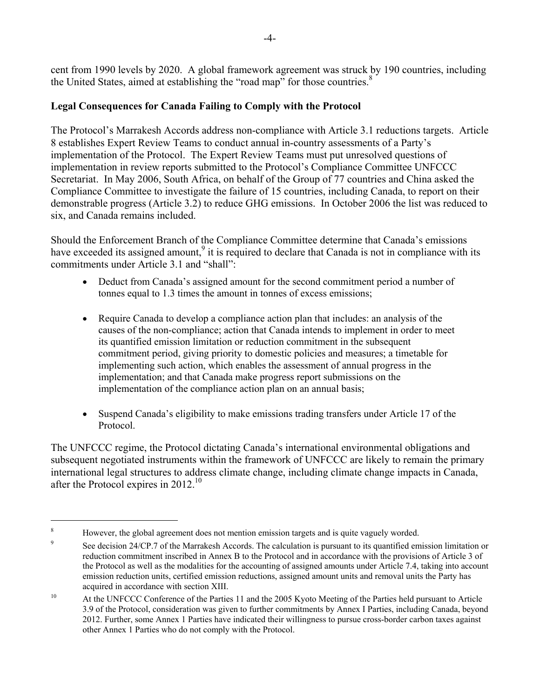cent from 1990 levels by 2020. A global framework agreement was struck by 190 countries, including the United States, aimed at establishing the "road map" for those countries.<sup>8</sup>

### **Legal Consequences for Canada Failing to Comply with the Protocol**

The Protocol's Marrakesh Accords address non-compliance with Article 3.1 reductions targets. Article 8 establishes Expert Review Teams to conduct annual in-country assessments of a Party's implementation of the Protocol. The Expert Review Teams must put unresolved questions of implementation in review reports submitted to the Protocol's Compliance Committee UNFCCC Secretariat. In May 2006, South Africa, on behalf of the Group of 77 countries and China asked the Compliance Committee to investigate the failure of 15 countries, including Canada, to report on their demonstrable progress (Article 3.2) to reduce GHG emissions. In October 2006 the list was reduced to six, and Canada remains included.

Should the Enforcement Branch of the Compliance Committee determine that Canada's emissions have exceeded its assigned amount,<sup>9</sup> it is required to declare that Canada is not in compliance with its commitments under Article 3.1 and "shall":

- Deduct from Canada's assigned amount for the second commitment period a number of tonnes equal to 1.3 times the amount in tonnes of excess emissions;
- Require Canada to develop a compliance action plan that includes: an analysis of the causes of the non-compliance; action that Canada intends to implement in order to meet its quantified emission limitation or reduction commitment in the subsequent commitment period, giving priority to domestic policies and measures; a timetable for implementing such action, which enables the assessment of annual progress in the implementation; and that Canada make progress report submissions on the implementation of the compliance action plan on an annual basis;
- Suspend Canada's eligibility to make emissions trading transfers under Article 17 of the Protocol.

The UNFCCC regime, the Protocol dictating Canada's international environmental obligations and subsequent negotiated instruments within the framework of UNFCCC are likely to remain the primary international legal structures to address climate change, including climate change impacts in Canada, after the Protocol expires in  $2012$ <sup>10</sup>

 $\overline{a}$ 

<sup>8</sup> However, the global agreement does not mention emission targets and is quite vaguely worded.

 $\overline{9}$  See decision 24/CP.7 of the Marrakesh Accords. The calculation is pursuant to its quantified emission limitation or reduction commitment inscribed in Annex B to the Protocol and in accordance with the provisions of Article 3 of the Protocol as well as the modalities for the accounting of assigned amounts under Article 7.4, taking into account emission reduction units, certified emission reductions, assigned amount units and removal units the Party has acquired in accordance with section XIII.

<sup>&</sup>lt;sup>10</sup> At the UNFCCC Conference of the Parties 11 and the 2005 Kyoto Meeting of the Parties held pursuant to Article 3.9 of the Protocol, consideration was given to further commitments by Annex I Parties, including Canada, beyond 2012. Further, some Annex 1 Parties have indicated their willingness to pursue cross-border carbon taxes against other Annex 1 Parties who do not comply with the Protocol.